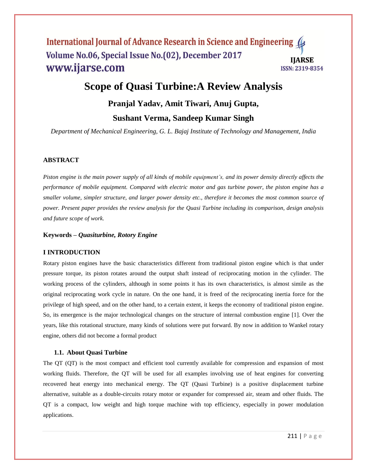# **Scope of Quasi Turbine:A Review Analysis**

# **Pranjal Yadav, Amit Tiwari, Anuj Gupta, Sushant Verma, Sandeep Kumar Singh**

*Department of Mechanical Engineering, G. L. Bajaj Institute of Technology and Management, India*

### **ABSTRACT**

Piston engine is the main power supply of all kinds of mobile equipment's, and its power density directly affects the performance of mobile equipment. Compared with electric motor and gas turbine power, the piston engine has a smaller volume, simpler structure, and larger power density etc., therefore it becomes the most common source of power. Present paper provides the review analysis for the Quasi Turbine including its comparison, design analysis *and future scope of work.*

### **Keywords –** *Quasiturbine, Rotory Engine*

#### **I INTRODUCTION**

Rotary piston engines have the basic characteristics different from traditional piston engine which is that under pressure torque, its piston rotates around the output shaft instead of reciprocating motion in the cylinder. The working process of the cylinders, although in some points it has its own characteristics, is almost simile as the original reciprocating work cycle in nature. On the one hand, it is freed of the reciprocating inertia force for the privilege of high speed, and on the other hand, to a certain extent, it keeps the economy of traditional piston engine. So, its emergence is the major technological changes on the structure of internal combustion engine [1]. Over the years, like this rotational structure, many kinds of solutions were put forward. By now in addition to Wankel rotary engine, others did not become a formal product

#### **1.1. About Quasi Turbine**

The QT (QT) is the most compact and efficient tool currently available for compression and expansion of most working fluids. Therefore, the QT will be used for all examples involving use of heat engines for converting recovered heat energy into mechanical energy. The QT (Quasi Turbine) is a positive displacement turbine alternative, suitable as a double-circuits rotary motor or expander for compressed air, steam and other fluids. The QT is a compact, low weight and high torque machine with top efficiency, especially in power modulation applications.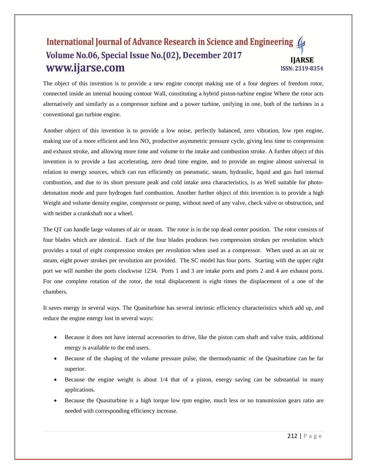The object of this invention is to provide a new engine concept making use of a four degrees of freedom rotor, connected inside an internal housing contour Wall, constituting a hybrid piston-turbine engine Where the rotor acts alternatively and similarly as a compressor turbine and a power turbine, unifying in one, both of the turbines in a conventional gas turbine engine.

Another object of this invention is to provide a low noise, perfectly balanced, zero vibration, low rpm engine, making use of a more efficient and less  $NO<sub>x</sub>$  productive asymmetric pressure cycle, giving less time to compression and exhaust stroke, and allowing more time and volume to the intake and combustion stroke. A further object of this invention is to provide a fast accelerating, zero dead time engine, and to provide an engine almost universal in relation to energy sources, which can run efficiently on pneumatic, steam, hydraulic, liquid and gas fuel internal combustion, and due to its short pressure peak and cold intake area characteristics, is as Well suitable for photodetonation mode and pure hydrogen fuel combustion. Another further object of this invention is to provide a high Weight and volume density engine, compressor or pump, without need of any valve, check valve or obstruction, and with neither a crankshaft nor a wheel.

The QT can handle large volumes of air or steam. The rotor is in the top dead center position. The rotor consists of four blades which are identical. Each of the four blades produces two compression strokes per revolution which provides a total of eight compression strokes per revolution when used as a compressor. When used as an air or steam, eight power strokes per revolution are provided. The SC model has four ports. Starting with the upper right port we will number the ports clockwise 1234. Ports 1 and 3 are intake ports and ports 2 and 4 are exhaust ports. For one complete rotation of the rotor, the total displacement is eight times the displacement of a one of the chambers.

It saves energy in several ways. The Quasiturbine has several intrinsic efficiency characteristics which add up, and reduce the engine energy lost in several ways:

- Because it does not have internal accessories to drive, like the piston cam shaft and valve train, additional energy is available to the end users.
- Because of the shaping of the volume pressure pulse, the thermodynamic of the Quasiturbine can be far superior.
- Because the engine weight is about 1/4 that of a piston, energy saving can be substantial in many applications.
- Because the Quasiturbine is a high torque low rpm engine, much less or no transmission gears ratio are needed with corresponding efficiency increase.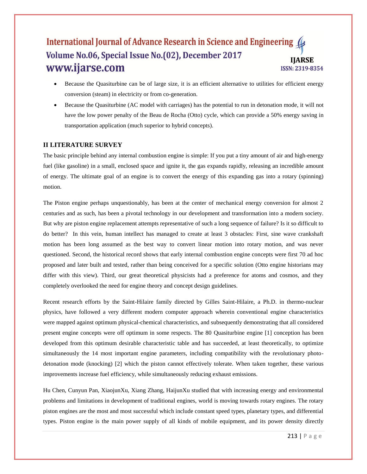- Because the Quasiturbine can be of large size, it is an efficient alternative to utilities for efficient energy conversion (steam) in electricity or from co-generation.
- Because the Quasiturbine (AC model with carriages) has the potential to run in detonation mode, it will not have the low power penalty of the Beau de Rocha (Otto) cycle, which can provide a 50% energy saving in transportation application (much superior to hybrid concepts).

# **II LITERATURE SURVEY**

The basic principle behind any internal combustion engine is simple: If you put a tiny amount of air and high-energy fuel (like gasoline) in a small, enclosed space and ignite it, the gas expands rapidly, releasing an incredible amount of energy. The ultimate goal of an engine is to convert the energy of this expanding gas into a rotary (spinning) motion.

The Piston engine perhaps unquestionably, has been at the center of mechanical energy conversion for almost 2 centuries and as such, has been a pivotal technology in our development and transformation into a modern society. But why are piston engine replacement attempts representative of such a long sequence of failure? Is it so difficult to do better? In this vein, human intellect has managed to create at least 3 obstacles: First, sine wave crankshaft motion has been long assumed as the best way to convert linear motion into rotary motion, and was never questioned. Second, the historical record shows that early internal combustion engine concepts were first 70 ad hoc proposed and later built and tested, rather than being conceived for a specific solution (Otto engine historians may differ with this view). Third, our great theoretical physicists had a preference for atoms and cosmos, and they completely overlooked the need for engine theory and concept design guidelines.

Recent research efforts by the Saint-Hilaire family directed by Gilles Saint-Hilaire, a Ph.D. in thermo-nuclear physics, have followed a very different modern computer approach wherein conventional engine characteristics were mapped against optimum physical-chemical characteristics, and subsequently demonstrating that all considered present engine concepts were off optimum in some respects. The 80 Quasiturbine engine [1] conception has been developed from this optimum desirable characteristic table and has succeeded, at least theoretically, to optimize simultaneously the 14 most important engine parameters, including compatibility with the revolutionary photodetonation mode (knocking) [2] which the piston cannot effectively tolerate. When taken together, these various improvements increase fuel efficiency, while simultaneously reducing exhaust emissions.

Hu Chen, Cunyun Pan, XiaojunXu, Xiang Zhang, HaijunXu studied that with increasing energy and environmental problems and limitations in development of traditional engines, world is moving towards rotary engines. The rotary piston engines are the most and most successful which include constant speed types, planetary types, and differential types. Piston engine is the main power supply of all kinds of mobile equipment, and its power density directly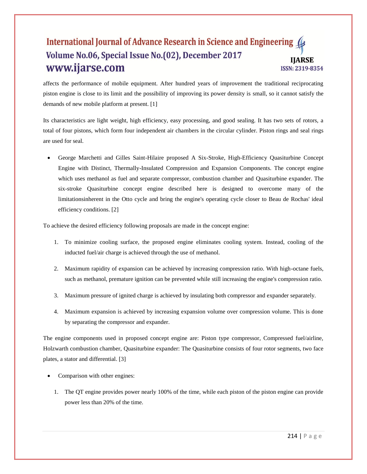affects the performance of mobile equipment. After hundred years of improvement the traditional reciprocating piston engine is close to its limit and the possibility of improving its power density is small, so it cannot satisfy the demands of new mobile platform at present. [1]

Its characteristics are light weight, high efficiency, easy processing, and good sealing. It has two sets of rotors, a total of four pistons, which form four independent air chambers in the circular cylinder. Piston rings and seal rings are used for seal.

 George Marchetti and Gilles Saint-Hilaire proposed A Six-Stroke, High-Efficiency Quasiturbine Concept Engine with Distinct, Thermally-Insulated Compression and Expansion Components. The concept engine which uses methanol as fuel and separate compressor, combustion chamber and Quasiturbine expander. The six-stroke Quasiturbine concept engine described here is designed to overcome many of the limitationsinherent in the Otto cycle and bring the engine's operating cycle closer to Beau de Rochas' ideal efficiency conditions. [2]

To achieve the desired efficiency following proposals are made in the concept engine:

- 1. To minimize cooling surface, the proposed engine eliminates cooling system. Instead, cooling of the inducted fuel/air charge is achieved through the use of methanol.
- 2. Maximum rapidity of expansion can be achieved by increasing compression ratio. With high-octane fuels, such as methanol, premature ignition can be prevented while still increasing the engine's compression ratio.
- 3. Maximum pressure of ignited charge is achieved by insulating both compressor and expander separately.
- 4. Maximum expansion is achieved by increasing expansion volume over compression volume. This is done by separating the compressor and expander.

The engine components used in proposed concept engine are: Piston type compressor, Compressed fuel/airline, Holzwarth combustion chamber, Quasiturbine expander: The Quasiturbine consists of four rotor segments, two face plates, a stator and differential. [3]

- Comparison with other engines:
	- 1. The QT engine provides power nearly 100% of the time, while each piston of the piston engine can provide power less than 20% of the time.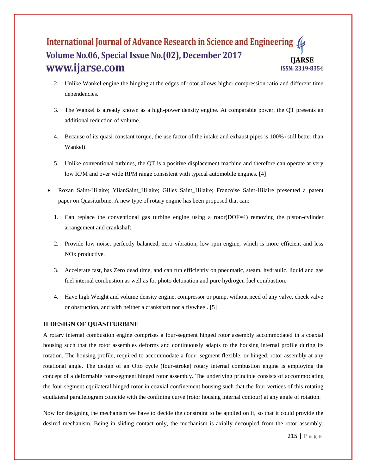- 2. Unlike Wankel engine the hinging at the edges of rotor allows higher compression ratio and different time dependencies.
- 3. The Wankel is already known as a high-power density engine. At comparable power, the QT presents an additional reduction of volume.
- 4. Because of its quasi-constant torque, the use factor of the intake and exhaust pipes is 100% (still better than Wankel).
- 5. Unlike conventional turbines, the QT is a positive displacement machine and therefore can operate at very low RPM and over wide RPM range consistent with typical automobile engines. [4]
- Roxan Saint-Hilaire; YlianSaint\_Hilaire; Gilles Saint\_Hilaire; Francoise Saint-Hilaire presented a patent paper on Quasiturbine. A new type of rotary engine has been proposed that can:
	- 1. Can replace the conventional gas turbine engine using a rotor(DOF=4) removing the piston-cylinder arrangement and crankshaft.
	- 2. Provide low noise, perfectly balanced, zero vibration, low rpm engine, which is more efficient and less NOx productive.
	- 3. Accelerate fast, has Zero dead time, and can run efficiently on pneumatic, steam, hydraulic, liquid and gas fuel internal combustion as well as for photo detonation and pure hydrogen fuel combustion.
	- 4. Have high Weight and volume density engine, compressor or pump, without need of any valve, check valve or obstruction, and with neither a crankshaft nor a flywheel. [5]

# **II DESIGN OF QUASITURBINE**

A rotary internal combustion engine comprises a four-segment hinged rotor assembly accommodated in a coaxial housing such that the rotor assembles deforms and continuously adapts to the housing internal profile during its rotation. The housing profile, required to accommodate a four- segment flexible, or hinged, rotor assembly at any rotational angle. The design of an Otto cycle (four-stroke) rotary internal combustion engine is employing the concept of a deformable four-segment hinged rotor assembly. The underlying principle consists of accommodating the four-segment equilateral hinged rotor in coaxial confinement housing such that the four vertices of this rotating equilateral parallelogram coincide with the confining curve (rotor housing internal contour) at any angle of rotation.

Now for designing the mechanism we have to decide the constraint to be applied on it, so that it could provide the desired mechanism. Being in sliding contact only, the mechanism is axially decoupled from the rotor assembly.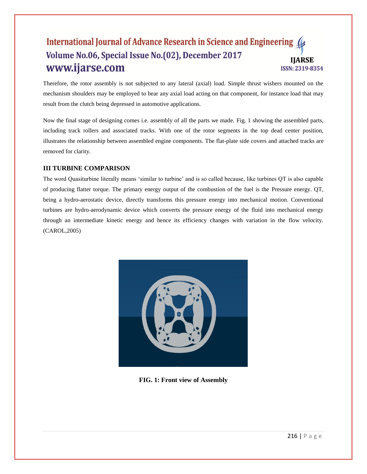Therefore, the rotor assembly is not subjected to any lateral (axial) load. Simple thrust wishers mounted on the mechanism shoulders may be employed to bear any axial load acting on that component, for instance load that may result from the clutch being depressed in automotive applications.

Now the final stage of designing comes i.e. assembly of all the parts we made. Fig. 1 showing the assembled parts, including track rollers and associated tracks. With one of the rotor segments in the top dead center position, illustrates the relationship between assembled engine components. The flat-plate side covers and attached tracks are removed for clarity.

# **III TURBINE COMPARISON**

The word Quasiturbine literally means "similar to turbine" and is so called because, like turbines QT is also capable of producing flatter torque. The primary energy output of the combustion of the fuel is the Pressure energy. QT, being a hydro-aerostatic device, directly transforms this pressure energy into mechanical motion. Conventional turbines are hydro-aerodynamic device which converts the pressure energy of the fluid into mechanical energy through an intermediate kinetic energy and hence its efficiency changes with variation in the flow velocity. (CAROL,2005)



**FIG. 1: Front view of Assembly**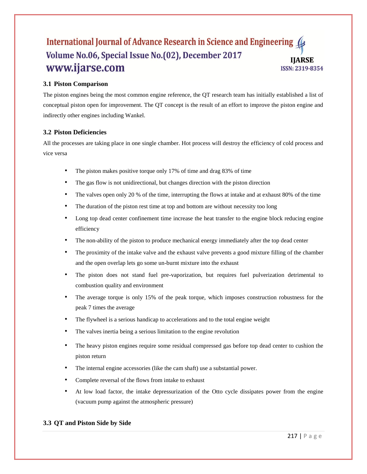# **3.1 Piston Comparison**

The piston engines being the most common engine reference, the QT research team has initially established a list of conceptual piston open for improvement. The QT concept is the result of an effort to improve the piston engine and indirectly other engines including Wankel.

### **3.2 Piston Deficiencies**

All the processes are taking place in one single chamber. Hot process will destroy the efficiency of cold process and vice versa

- The piston makes positive torque only 17% of time and drag 83% of time
- The gas flow is not unidirectional, but changes direction with the piston direction
- The valves open only 20 % of the time, interrupting the flows at intake and at exhaust 80% of the time
- The duration of the piston rest time at top and bottom are without necessity too long
- Long top dead center confinement time increase the heat transfer to the engine block reducing engine efficiency
- The non-ability of the piston to produce mechanical energy immediately after the top dead center
- The proximity of the intake valve and the exhaust valve prevents a good mixture filling of the chamber and the open overlap lets go some un-burnt mixture into the exhaust
- The piston does not stand fuel pre-vaporization, but requires fuel pulverization detrimental to combustion quality and environment
- The average torque is only 15% of the peak torque, which imposes construction robustness for the peak 7 times the average
- The flywheel is a serious handicap to accelerations and to the total engine weight
- The valves inertia being a serious limitation to the engine revolution
- The heavy piston engines require some residual compressed gas before top dead center to cushion the piston return
- The internal engine accessories (like the cam shaft) use a substantial power.
- Complete reversal of the flows from intake to exhaust
- At low load factor, the intake depressurization of the Otto cycle dissipates power from the engine (vacuum pump against the atmospheric pressure)

# **3.3 QT and Piston Side by Side**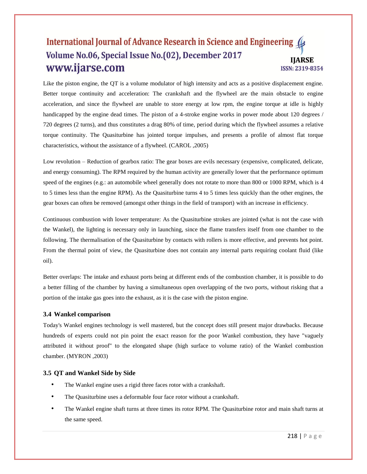Like the piston engine, the QT is a volume modulator of high intensity and acts as a positive displacement engine. Better torque continuity and acceleration: The crankshaft and the flywheel are the main obstacle to engine acceleration, and since the flywheel are unable to store energy at low rpm, the engine torque at idle is highly handicapped by the engine dead times. The piston of a 4-stroke engine works in power mode about 120 degrees / 720 degrees (2 turns), and thus constitutes a drag 80% of time, period during which the flywheel assumes a relative torque continuity. The Quasiturbine has jointed torque impulses, and presents a profile of almost flat torque characteristics, without the assistance of a flywheel. (CAROL ,2005)

Low revolution – Reduction of gearbox ratio: The gear boxes are evils necessary (expensive, complicated, delicate, and energy consuming). The RPM required by the human activity are generally lower that the performance optimum speed of the engines (e.g.: an automobile wheel generally does not rotate to more than 800 or 1000 RPM, which is 4 to 5 times less than the engine RPM). As the Quasiturbine turns 4 to 5 times less quickly than the other engines, the gear boxes can often be removed (amongst other things in the field of transport) with an increase in efficiency.

Continuous combustion with lower temperature: As the Quasiturbine strokes are jointed (what is not the case with the Wankel), the lighting is necessary only in launching, since the flame transfers itself from one chamber to the following. The thermalisation of the Quasiturbine by contacts with rollers is more effective, and prevents hot point. From the thermal point of view, the Quasiturbine does not contain any internal parts requiring coolant fluid (like oil).

Better overlaps: The intake and exhaust ports being at different ends of the combustion chamber, it is possible to do a better filling of the chamber by having a simultaneous open overlapping of the two ports, without risking that a portion of the intake gas goes into the exhaust, as it is the case with the piston engine.

# **3.4 Wankel comparison**

Today's Wankel engines technology is well mastered, but the concept does still present major drawbacks. Because hundreds of experts could not pin point the exact reason for the poor Wankel combustion, they have "vaguely attributed it without proof" to the elongated shape (high surface to volume ratio) of the Wankel combustion chamber. (MYRON ,2003)

### **3.5 QT and Wankel Side by Side**

- The Wankel engine uses a rigid three faces rotor with a crankshaft.
- The Quasiturbine uses a deformable four face rotor without a crankshaft.
- The Wankel engine shaft turns at three times its rotor RPM. The Quasiturbine rotor and main shaft turns at the same speed.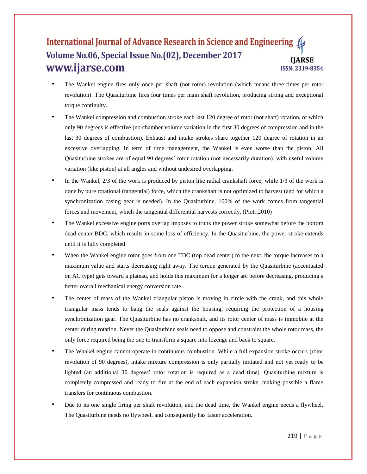- The Wankel engine fires only once per shaft (not rotor) revolution (which means three times per rotor revolution). The Quasiturbine fires four times per main shaft revolution, producing strong and exceptional torque continuity.
- The Wankel compression and combustion stroke each last 120 degree of rotor (not shaft) rotation, of which only 90 degrees is effective (no chamber volume variation in the first 30 degrees of compression and in the last 30 degrees of combustion). Exhaust and intake strokes share together 120 degree of rotation in an excessive overlapping. In term of time management, the Wankel is even worse than the piston. All Quasiturbine strokes are of equal 90 degrees" rotor rotation (not necessarily duration), with useful volume variation (like piston) at all angles and without undesired overlapping.
- In the Wankel, 2/3 of the work is produced by piston like radial crankshaft force, while 1/3 of the work is done by pure rotational (tangential) force, which the crankshaft is not optimized to harvest (and for which a synchronization casing gear is needed). In the Quasiturbine, 100% of the work comes from tangential forces and movement, which the tangential differential harvests correctly. (Piotr,2010)
- The Wankel excessive engine ports overlap imposes to trunk the power stroke somewhat before the bottom dead center BDC, which results in some loss of efficiency. In the Quasiturbine, the power stroke extends until it is fully completed.
- When the Wankel engine rotor goes from one TDC (top dead center) to the next, the torque increases to a maximum value and starts decreasing right away. The torque generated by the Quasiturbine (accentuated on AC type) gets toward a plateau, and holds this maximum for a longer arc before decreasing, producing a better overall mechanical energy conversion rate.
- The center of mass of the Wankel triangular piston is moving in circle with the crank, and this whole triangular mass tends to bang the seals against the housing, requiring the protection of a housing synchronization gear. The Quasiturbine has no crankshaft, and its rotor center of mass is immobile at the center during rotation. Never the Quasiturbine seals need to oppose and constraint the whole rotor mass, the only force required being the one to transform a square into lozenge and back to square.
- The Wankel engine cannot operate in continuous combustion. While a full expansion stroke occurs (rotor revolution of 90 degrees), intake mixture compression is only partially initiated and not yet ready to be lighted (an additional 30 degrees' rotor rotation is required as a dead time). Quasiturbine mixture is completely compressed and ready to fire at the end of each expansion stroke, making possible a flame transfers for continuous combustion.
- Due to its one single firing per shaft revolution, and the dead time, the Wankel engine needs a flywheel. The Quasiturbine needs no flywheel, and consequently has faster acceleration.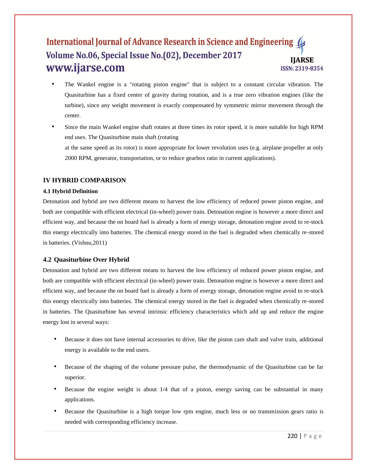- The Wankel engine is a "rotating piston engine" that is subject to a constant circular vibration. The Quasiturbine has a fixed center of gravity during rotation, and is a true zero vibration engines (like the turbine), since any weight movement is exactly compensated by symmetric mirror movement through the center.
- Since the main Wankel engine shaft rotates at three times its rotor speed, it is more suitable for high RPM end uses. The Quasiturbine main shaft (rotating at the same speed as its rotor) is more appropriate for lower revolution uses (e.g. airplane propeller at only 2000 RPM, generator, transportation, or to reduce gearbox ratio in current applications).

### **IV HYBRID COMPARISON**

### **4.1 Hybrid Definition**

Detonation and hybrid are two different means to harvest the low efficiency of reduced power piston engine, and both are compatible with efficient electrical (in-wheel) power train. Detonation engine is however a more direct and efficient way, and because the on board fuel is already a form of energy storage, detonation engine avoid to re-stock this energy electrically into batteries. The chemical energy stored in the fuel is degraded when chemically re-stored in batteries. (Vishnu,2011)

### **4.2 Quasiturbine Over Hybrid**

Detonation and hybrid are two different means to harvest the low efficiency of reduced power piston engine, and both are compatible with efficient electrical (in-wheel) power train. Detonation engine is however a more direct and efficient way, and because the on board fuel is already a form of energy storage, detonation engine avoid to re-stock this energy electrically into batteries. The chemical energy stored in the fuel is degraded when chemically re-stored in batteries. The Quasiturbine has several intrinsic efficiency characteristics which add up and reduce the engine energy lost in several ways:

- Because it does not have internal accessories to drive, like the piston cam shaft and valve train, additional energy is available to the end users.
- Because of the shaping of the volume pressure pulse, the thermodynamic of the Quasiturbine can be far superior.
- Because the engine weight is about 1/4 that of a piston, energy saving can be substantial in many applications.
- Because the Quasiturbine is a high torque low rpm engine, much less or no transmission gears ratio is needed with corresponding efficiency increase.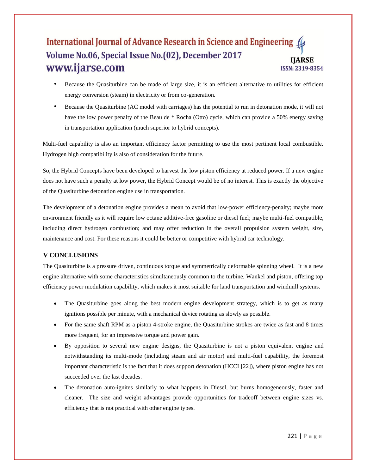- Because the Quasiturbine can be made of large size, it is an efficient alternative to utilities for efficient energy conversion (steam) in electricity or from co-generation.
- Because the Quasiturbine (AC model with carriages) has the potential to run in detonation mode, it will not have the low power penalty of the Beau de \* Rocha (Otto) cycle, which can provide a 50% energy saving in transportation application (much superior to hybrid concepts).

Multi-fuel capability is also an important efficiency factor permitting to use the most pertinent local combustible. Hydrogen high compatibility is also of consideration for the future.

So, the Hybrid Concepts have been developed to harvest the low piston efficiency at reduced power. If a new engine does not have such a penalty at low power, the Hybrid Concept would be of no interest. This is exactly the objective of the Quasiturbine detonation engine use in transportation.

The development of a detonation engine provides a mean to avoid that low-power efficiency-penalty; maybe more environment friendly as it will require low octane additive-free gasoline or diesel fuel; maybe multi-fuel compatible, including direct hydrogen combustion; and may offer reduction in the overall propulsion system weight, size, maintenance and cost. For these reasons it could be better or competitive with hybrid car technology.

# **V CONCLUSIONS**

The Quasiturbine is a pressure driven, continuous torque and symmetrically deformable spinning wheel. It is a new engine alternative with some characteristics simultaneously common to the turbine, Wankel and piston, offering top efficiency power modulation capability, which makes it most suitable for land transportation and windmill systems.

- The Quasiturbine goes along the best modern engine development strategy, which is to get as many ignitions possible per minute, with a mechanical device rotating as slowly as possible.
- For the same shaft RPM as a piston 4-stroke engine, the Quasiturbine strokes are twice as fast and 8 times more frequent, for an impressive torque and power gain.
- By opposition to several new engine designs, the Quasiturbine is not a piston equivalent engine and notwithstanding its multi-mode (including steam and air motor) and multi-fuel capability, the foremost important characteristic is the fact that it does support detonation (HCCI [22]), where piston engine has not succeeded over the last decades.
- The detonation auto-ignites similarly to what happens in Diesel, but burns homogeneously, faster and cleaner. The size and weight advantages provide opportunities for tradeoff between engine sizes vs. efficiency that is not practical with other engine types.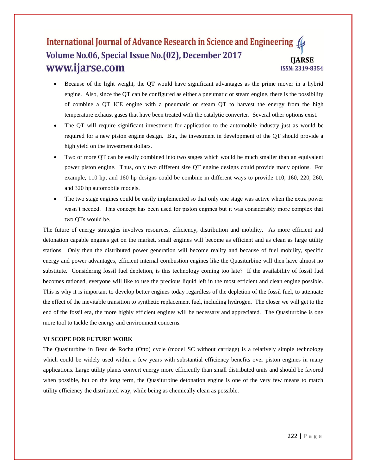- Because of the light weight, the QT would have significant advantages as the prime mover in a hybrid engine. Also, since the QT can be configured as either a pneumatic or steam engine, there is the possibility of combine a QT ICE engine with a pneumatic or steam QT to harvest the energy from the high temperature exhaust gases that have been treated with the catalytic converter. Several other options exist.
- The QT will require significant investment for application to the automobile industry just as would be required for a new piston engine design. But, the investment in development of the QT should provide a high yield on the investment dollars.
- Two or more QT can be easily combined into two stages which would be much smaller than an equivalent power piston engine. Thus, only two different size QT engine designs could provide many options. For example, 110 hp, and 160 hp designs could be combine in different ways to provide 110, 160, 220, 260, and 320 hp automobile models.
- The two stage engines could be easily implemented so that only one stage was active when the extra power wasn"t needed. This concept has been used for piston engines but it was considerably more complex that two QTs would be.

The future of energy strategies involves resources, efficiency, distribution and mobility. As more efficient and detonation capable engines get on the market, small engines will become as efficient and as clean as large utility stations. Only then the distributed power generation will become reality and because of fuel mobility, specific energy and power advantages, efficient internal combustion engines like the Quasiturbine will then have almost no substitute. Considering fossil fuel depletion, is this technology coming too late? If the availability of fossil fuel becomes rationed, everyone will like to use the precious liquid left in the most efficient and clean engine possible. This is why it is important to develop better engines today regardless of the depletion of the fossil fuel, to attenuate the effect of the inevitable transition to synthetic replacement fuel, including hydrogen. The closer we will get to the end of the fossil era, the more highly efficient engines will be necessary and appreciated. The Quasiturbine is one more tool to tackle the energy and environment concerns.

### **VI SCOPE FOR FUTURE WORK**

The Quasiturbine in Beau de Rocha (Otto) cycle (model SC without carriage) is a relatively simple technology which could be widely used within a few years with substantial efficiency benefits over piston engines in many applications. Large utility plants convert energy more efficiently than small distributed units and should be favored when possible, but on the long term, the Quasiturbine detonation engine is one of the very few means to match utility efficiency the distributed way, while being as chemically clean as possible.